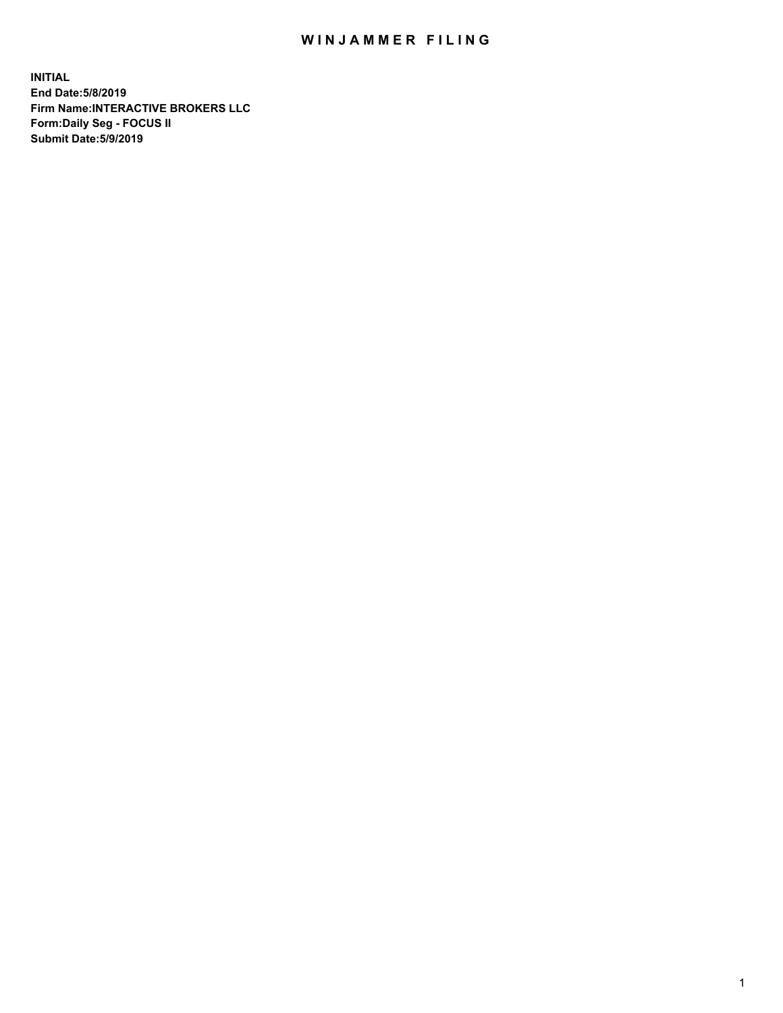## WIN JAMMER FILING

**INITIAL End Date:5/8/2019 Firm Name:INTERACTIVE BROKERS LLC Form:Daily Seg - FOCUS II Submit Date:5/9/2019**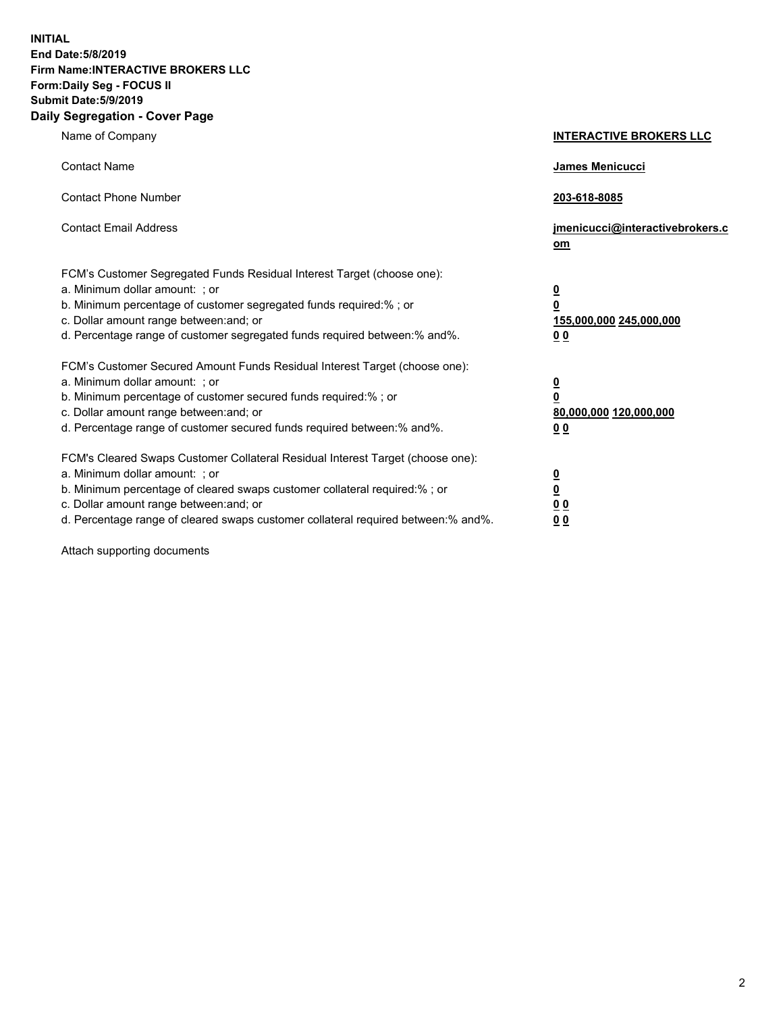**INITIAL End Date:5/8/2019 Firm Name:INTERACTIVE BROKERS LLC Form:Daily Seg - FOCUS II Submit Date:5/9/2019 Daily Segregation - Cover Page**

| Name of Company                                                                                                                                                                                                                                                                                                                | <b>INTERACTIVE BROKERS LLC</b>                                                      |
|--------------------------------------------------------------------------------------------------------------------------------------------------------------------------------------------------------------------------------------------------------------------------------------------------------------------------------|-------------------------------------------------------------------------------------|
| <b>Contact Name</b>                                                                                                                                                                                                                                                                                                            | James Menicucci                                                                     |
| <b>Contact Phone Number</b>                                                                                                                                                                                                                                                                                                    | 203-618-8085                                                                        |
| <b>Contact Email Address</b>                                                                                                                                                                                                                                                                                                   | jmenicucci@interactivebrokers.c<br>om                                               |
| FCM's Customer Segregated Funds Residual Interest Target (choose one):<br>a. Minimum dollar amount: ; or<br>b. Minimum percentage of customer segregated funds required:% ; or<br>c. Dollar amount range between: and; or<br>d. Percentage range of customer segregated funds required between:% and%.                         | $\overline{\mathbf{0}}$<br>$\overline{\mathbf{0}}$<br>155,000,000 245,000,000<br>00 |
| FCM's Customer Secured Amount Funds Residual Interest Target (choose one):<br>a. Minimum dollar amount: ; or<br>b. Minimum percentage of customer secured funds required:% ; or<br>c. Dollar amount range between: and; or<br>d. Percentage range of customer secured funds required between:% and%.                           | $\overline{\mathbf{0}}$<br>$\pmb{0}$<br>80,000,000 120,000,000<br>00                |
| FCM's Cleared Swaps Customer Collateral Residual Interest Target (choose one):<br>a. Minimum dollar amount: ; or<br>b. Minimum percentage of cleared swaps customer collateral required:% ; or<br>c. Dollar amount range between: and; or<br>d. Percentage range of cleared swaps customer collateral required between:% and%. | $\overline{\mathbf{0}}$<br>$\underline{\mathbf{0}}$<br>0 <sub>0</sub><br>00         |

Attach supporting documents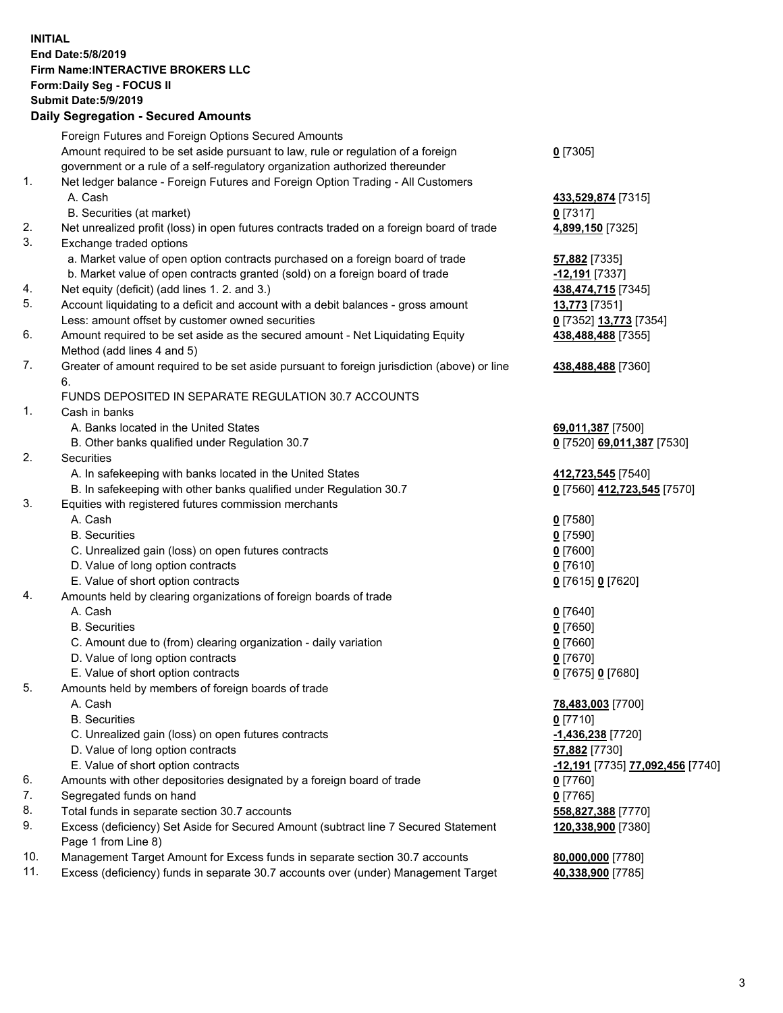## **INITIAL End Date:5/8/2019 Firm Name:INTERACTIVE BROKERS LLC Form:Daily Seg - FOCUS II Submit Date:5/9/2019 Daily Segregation - Secured Amounts**

| Foreign Futures and Foreign Options Secured Amounts                                |                                                                                                                                                                                                                                                                                                                                                                                                                                                                                                                                                                                                                                                                                                                                                                                                                                                                                                                                                                                                                                                                                                                                                                                                                                                                                                                                                                                                                                                                                                                                                                                                                                                                                                                                                                                                                                                                           |
|------------------------------------------------------------------------------------|---------------------------------------------------------------------------------------------------------------------------------------------------------------------------------------------------------------------------------------------------------------------------------------------------------------------------------------------------------------------------------------------------------------------------------------------------------------------------------------------------------------------------------------------------------------------------------------------------------------------------------------------------------------------------------------------------------------------------------------------------------------------------------------------------------------------------------------------------------------------------------------------------------------------------------------------------------------------------------------------------------------------------------------------------------------------------------------------------------------------------------------------------------------------------------------------------------------------------------------------------------------------------------------------------------------------------------------------------------------------------------------------------------------------------------------------------------------------------------------------------------------------------------------------------------------------------------------------------------------------------------------------------------------------------------------------------------------------------------------------------------------------------------------------------------------------------------------------------------------------------|
|                                                                                    | $0$ [7305]                                                                                                                                                                                                                                                                                                                                                                                                                                                                                                                                                                                                                                                                                                                                                                                                                                                                                                                                                                                                                                                                                                                                                                                                                                                                                                                                                                                                                                                                                                                                                                                                                                                                                                                                                                                                                                                                |
|                                                                                    |                                                                                                                                                                                                                                                                                                                                                                                                                                                                                                                                                                                                                                                                                                                                                                                                                                                                                                                                                                                                                                                                                                                                                                                                                                                                                                                                                                                                                                                                                                                                                                                                                                                                                                                                                                                                                                                                           |
|                                                                                    |                                                                                                                                                                                                                                                                                                                                                                                                                                                                                                                                                                                                                                                                                                                                                                                                                                                                                                                                                                                                                                                                                                                                                                                                                                                                                                                                                                                                                                                                                                                                                                                                                                                                                                                                                                                                                                                                           |
|                                                                                    | 433,529,874 [7315]                                                                                                                                                                                                                                                                                                                                                                                                                                                                                                                                                                                                                                                                                                                                                                                                                                                                                                                                                                                                                                                                                                                                                                                                                                                                                                                                                                                                                                                                                                                                                                                                                                                                                                                                                                                                                                                        |
|                                                                                    | $0$ [7317]                                                                                                                                                                                                                                                                                                                                                                                                                                                                                                                                                                                                                                                                                                                                                                                                                                                                                                                                                                                                                                                                                                                                                                                                                                                                                                                                                                                                                                                                                                                                                                                                                                                                                                                                                                                                                                                                |
|                                                                                    | 4,899,150 [7325]                                                                                                                                                                                                                                                                                                                                                                                                                                                                                                                                                                                                                                                                                                                                                                                                                                                                                                                                                                                                                                                                                                                                                                                                                                                                                                                                                                                                                                                                                                                                                                                                                                                                                                                                                                                                                                                          |
|                                                                                    |                                                                                                                                                                                                                                                                                                                                                                                                                                                                                                                                                                                                                                                                                                                                                                                                                                                                                                                                                                                                                                                                                                                                                                                                                                                                                                                                                                                                                                                                                                                                                                                                                                                                                                                                                                                                                                                                           |
|                                                                                    | 57,882 [7335]                                                                                                                                                                                                                                                                                                                                                                                                                                                                                                                                                                                                                                                                                                                                                                                                                                                                                                                                                                                                                                                                                                                                                                                                                                                                                                                                                                                                                                                                                                                                                                                                                                                                                                                                                                                                                                                             |
|                                                                                    | -12,191 <sub>[7337]</sub>                                                                                                                                                                                                                                                                                                                                                                                                                                                                                                                                                                                                                                                                                                                                                                                                                                                                                                                                                                                                                                                                                                                                                                                                                                                                                                                                                                                                                                                                                                                                                                                                                                                                                                                                                                                                                                                 |
|                                                                                    | 438,474,715 [7345]                                                                                                                                                                                                                                                                                                                                                                                                                                                                                                                                                                                                                                                                                                                                                                                                                                                                                                                                                                                                                                                                                                                                                                                                                                                                                                                                                                                                                                                                                                                                                                                                                                                                                                                                                                                                                                                        |
|                                                                                    | <b>13,773</b> [7351]                                                                                                                                                                                                                                                                                                                                                                                                                                                                                                                                                                                                                                                                                                                                                                                                                                                                                                                                                                                                                                                                                                                                                                                                                                                                                                                                                                                                                                                                                                                                                                                                                                                                                                                                                                                                                                                      |
|                                                                                    | 0 [7352] 13,773 [7354]                                                                                                                                                                                                                                                                                                                                                                                                                                                                                                                                                                                                                                                                                                                                                                                                                                                                                                                                                                                                                                                                                                                                                                                                                                                                                                                                                                                                                                                                                                                                                                                                                                                                                                                                                                                                                                                    |
|                                                                                    | 438,488,488 [7355]                                                                                                                                                                                                                                                                                                                                                                                                                                                                                                                                                                                                                                                                                                                                                                                                                                                                                                                                                                                                                                                                                                                                                                                                                                                                                                                                                                                                                                                                                                                                                                                                                                                                                                                                                                                                                                                        |
|                                                                                    |                                                                                                                                                                                                                                                                                                                                                                                                                                                                                                                                                                                                                                                                                                                                                                                                                                                                                                                                                                                                                                                                                                                                                                                                                                                                                                                                                                                                                                                                                                                                                                                                                                                                                                                                                                                                                                                                           |
| 6.                                                                                 | 438,488,488 [7360]                                                                                                                                                                                                                                                                                                                                                                                                                                                                                                                                                                                                                                                                                                                                                                                                                                                                                                                                                                                                                                                                                                                                                                                                                                                                                                                                                                                                                                                                                                                                                                                                                                                                                                                                                                                                                                                        |
| FUNDS DEPOSITED IN SEPARATE REGULATION 30.7 ACCOUNTS                               |                                                                                                                                                                                                                                                                                                                                                                                                                                                                                                                                                                                                                                                                                                                                                                                                                                                                                                                                                                                                                                                                                                                                                                                                                                                                                                                                                                                                                                                                                                                                                                                                                                                                                                                                                                                                                                                                           |
| Cash in banks                                                                      |                                                                                                                                                                                                                                                                                                                                                                                                                                                                                                                                                                                                                                                                                                                                                                                                                                                                                                                                                                                                                                                                                                                                                                                                                                                                                                                                                                                                                                                                                                                                                                                                                                                                                                                                                                                                                                                                           |
| A. Banks located in the United States                                              | 69,011,387 [7500]                                                                                                                                                                                                                                                                                                                                                                                                                                                                                                                                                                                                                                                                                                                                                                                                                                                                                                                                                                                                                                                                                                                                                                                                                                                                                                                                                                                                                                                                                                                                                                                                                                                                                                                                                                                                                                                         |
| B. Other banks qualified under Regulation 30.7                                     | 0 [7520] 69,011,387 [7530]                                                                                                                                                                                                                                                                                                                                                                                                                                                                                                                                                                                                                                                                                                                                                                                                                                                                                                                                                                                                                                                                                                                                                                                                                                                                                                                                                                                                                                                                                                                                                                                                                                                                                                                                                                                                                                                |
| Securities                                                                         |                                                                                                                                                                                                                                                                                                                                                                                                                                                                                                                                                                                                                                                                                                                                                                                                                                                                                                                                                                                                                                                                                                                                                                                                                                                                                                                                                                                                                                                                                                                                                                                                                                                                                                                                                                                                                                                                           |
| A. In safekeeping with banks located in the United States                          | 412,723,545 [7540]                                                                                                                                                                                                                                                                                                                                                                                                                                                                                                                                                                                                                                                                                                                                                                                                                                                                                                                                                                                                                                                                                                                                                                                                                                                                                                                                                                                                                                                                                                                                                                                                                                                                                                                                                                                                                                                        |
| B. In safekeeping with other banks qualified under Regulation 30.7                 | 0 [7560] 412,723,545 [7570]                                                                                                                                                                                                                                                                                                                                                                                                                                                                                                                                                                                                                                                                                                                                                                                                                                                                                                                                                                                                                                                                                                                                                                                                                                                                                                                                                                                                                                                                                                                                                                                                                                                                                                                                                                                                                                               |
| Equities with registered futures commission merchants                              |                                                                                                                                                                                                                                                                                                                                                                                                                                                                                                                                                                                                                                                                                                                                                                                                                                                                                                                                                                                                                                                                                                                                                                                                                                                                                                                                                                                                                                                                                                                                                                                                                                                                                                                                                                                                                                                                           |
|                                                                                    | $0$ [7580]                                                                                                                                                                                                                                                                                                                                                                                                                                                                                                                                                                                                                                                                                                                                                                                                                                                                                                                                                                                                                                                                                                                                                                                                                                                                                                                                                                                                                                                                                                                                                                                                                                                                                                                                                                                                                                                                |
| <b>B.</b> Securities                                                               | $0$ [7590]                                                                                                                                                                                                                                                                                                                                                                                                                                                                                                                                                                                                                                                                                                                                                                                                                                                                                                                                                                                                                                                                                                                                                                                                                                                                                                                                                                                                                                                                                                                                                                                                                                                                                                                                                                                                                                                                |
|                                                                                    | $0$ [7600]                                                                                                                                                                                                                                                                                                                                                                                                                                                                                                                                                                                                                                                                                                                                                                                                                                                                                                                                                                                                                                                                                                                                                                                                                                                                                                                                                                                                                                                                                                                                                                                                                                                                                                                                                                                                                                                                |
|                                                                                    | $0$ [7610]                                                                                                                                                                                                                                                                                                                                                                                                                                                                                                                                                                                                                                                                                                                                                                                                                                                                                                                                                                                                                                                                                                                                                                                                                                                                                                                                                                                                                                                                                                                                                                                                                                                                                                                                                                                                                                                                |
|                                                                                    | 0 [7615] 0 [7620]                                                                                                                                                                                                                                                                                                                                                                                                                                                                                                                                                                                                                                                                                                                                                                                                                                                                                                                                                                                                                                                                                                                                                                                                                                                                                                                                                                                                                                                                                                                                                                                                                                                                                                                                                                                                                                                         |
|                                                                                    |                                                                                                                                                                                                                                                                                                                                                                                                                                                                                                                                                                                                                                                                                                                                                                                                                                                                                                                                                                                                                                                                                                                                                                                                                                                                                                                                                                                                                                                                                                                                                                                                                                                                                                                                                                                                                                                                           |
|                                                                                    | $0$ [7640]                                                                                                                                                                                                                                                                                                                                                                                                                                                                                                                                                                                                                                                                                                                                                                                                                                                                                                                                                                                                                                                                                                                                                                                                                                                                                                                                                                                                                                                                                                                                                                                                                                                                                                                                                                                                                                                                |
|                                                                                    | $0$ [7650]                                                                                                                                                                                                                                                                                                                                                                                                                                                                                                                                                                                                                                                                                                                                                                                                                                                                                                                                                                                                                                                                                                                                                                                                                                                                                                                                                                                                                                                                                                                                                                                                                                                                                                                                                                                                                                                                |
|                                                                                    | $0$ [7660]                                                                                                                                                                                                                                                                                                                                                                                                                                                                                                                                                                                                                                                                                                                                                                                                                                                                                                                                                                                                                                                                                                                                                                                                                                                                                                                                                                                                                                                                                                                                                                                                                                                                                                                                                                                                                                                                |
|                                                                                    | $0$ [7670]                                                                                                                                                                                                                                                                                                                                                                                                                                                                                                                                                                                                                                                                                                                                                                                                                                                                                                                                                                                                                                                                                                                                                                                                                                                                                                                                                                                                                                                                                                                                                                                                                                                                                                                                                                                                                                                                |
|                                                                                    | 0 [7675] 0 [7680]                                                                                                                                                                                                                                                                                                                                                                                                                                                                                                                                                                                                                                                                                                                                                                                                                                                                                                                                                                                                                                                                                                                                                                                                                                                                                                                                                                                                                                                                                                                                                                                                                                                                                                                                                                                                                                                         |
|                                                                                    |                                                                                                                                                                                                                                                                                                                                                                                                                                                                                                                                                                                                                                                                                                                                                                                                                                                                                                                                                                                                                                                                                                                                                                                                                                                                                                                                                                                                                                                                                                                                                                                                                                                                                                                                                                                                                                                                           |
|                                                                                    | 78,483,003 [7700]                                                                                                                                                                                                                                                                                                                                                                                                                                                                                                                                                                                                                                                                                                                                                                                                                                                                                                                                                                                                                                                                                                                                                                                                                                                                                                                                                                                                                                                                                                                                                                                                                                                                                                                                                                                                                                                         |
|                                                                                    | $0$ [7710]                                                                                                                                                                                                                                                                                                                                                                                                                                                                                                                                                                                                                                                                                                                                                                                                                                                                                                                                                                                                                                                                                                                                                                                                                                                                                                                                                                                                                                                                                                                                                                                                                                                                                                                                                                                                                                                                |
|                                                                                    | -1,436,238 [7720]                                                                                                                                                                                                                                                                                                                                                                                                                                                                                                                                                                                                                                                                                                                                                                                                                                                                                                                                                                                                                                                                                                                                                                                                                                                                                                                                                                                                                                                                                                                                                                                                                                                                                                                                                                                                                                                         |
|                                                                                    | 57,882 [7730]                                                                                                                                                                                                                                                                                                                                                                                                                                                                                                                                                                                                                                                                                                                                                                                                                                                                                                                                                                                                                                                                                                                                                                                                                                                                                                                                                                                                                                                                                                                                                                                                                                                                                                                                                                                                                                                             |
|                                                                                    | <mark>-12,191</mark> [7735] 77,092,456 [7740]                                                                                                                                                                                                                                                                                                                                                                                                                                                                                                                                                                                                                                                                                                                                                                                                                                                                                                                                                                                                                                                                                                                                                                                                                                                                                                                                                                                                                                                                                                                                                                                                                                                                                                                                                                                                                             |
|                                                                                    | $0$ [7760]                                                                                                                                                                                                                                                                                                                                                                                                                                                                                                                                                                                                                                                                                                                                                                                                                                                                                                                                                                                                                                                                                                                                                                                                                                                                                                                                                                                                                                                                                                                                                                                                                                                                                                                                                                                                                                                                |
|                                                                                    | $0$ [7765]                                                                                                                                                                                                                                                                                                                                                                                                                                                                                                                                                                                                                                                                                                                                                                                                                                                                                                                                                                                                                                                                                                                                                                                                                                                                                                                                                                                                                                                                                                                                                                                                                                                                                                                                                                                                                                                                |
|                                                                                    | 558,827,388 [7770]                                                                                                                                                                                                                                                                                                                                                                                                                                                                                                                                                                                                                                                                                                                                                                                                                                                                                                                                                                                                                                                                                                                                                                                                                                                                                                                                                                                                                                                                                                                                                                                                                                                                                                                                                                                                                                                        |
| Page 1 from Line 8)                                                                | 120,338,900 [7380]                                                                                                                                                                                                                                                                                                                                                                                                                                                                                                                                                                                                                                                                                                                                                                                                                                                                                                                                                                                                                                                                                                                                                                                                                                                                                                                                                                                                                                                                                                                                                                                                                                                                                                                                                                                                                                                        |
| Management Target Amount for Excess funds in separate section 30.7 accounts        | 80,000,000 [7780]                                                                                                                                                                                                                                                                                                                                                                                                                                                                                                                                                                                                                                                                                                                                                                                                                                                                                                                                                                                                                                                                                                                                                                                                                                                                                                                                                                                                                                                                                                                                                                                                                                                                                                                                                                                                                                                         |
| Excess (deficiency) funds in separate 30.7 accounts over (under) Management Target | 40,338,900 [7785]                                                                                                                                                                                                                                                                                                                                                                                                                                                                                                                                                                                                                                                                                                                                                                                                                                                                                                                                                                                                                                                                                                                                                                                                                                                                                                                                                                                                                                                                                                                                                                                                                                                                                                                                                                                                                                                         |
|                                                                                    | Amount required to be set aside pursuant to law, rule or regulation of a foreign<br>government or a rule of a self-regulatory organization authorized thereunder<br>Net ledger balance - Foreign Futures and Foreign Option Trading - All Customers<br>A. Cash<br>B. Securities (at market)<br>Net unrealized profit (loss) in open futures contracts traded on a foreign board of trade<br>Exchange traded options<br>a. Market value of open option contracts purchased on a foreign board of trade<br>b. Market value of open contracts granted (sold) on a foreign board of trade<br>Net equity (deficit) (add lines 1.2. and 3.)<br>Account liquidating to a deficit and account with a debit balances - gross amount<br>Less: amount offset by customer owned securities<br>Amount required to be set aside as the secured amount - Net Liquidating Equity<br>Method (add lines 4 and 5)<br>Greater of amount required to be set aside pursuant to foreign jurisdiction (above) or line<br>A. Cash<br>C. Unrealized gain (loss) on open futures contracts<br>D. Value of long option contracts<br>E. Value of short option contracts<br>Amounts held by clearing organizations of foreign boards of trade<br>A. Cash<br><b>B.</b> Securities<br>C. Amount due to (from) clearing organization - daily variation<br>D. Value of long option contracts<br>E. Value of short option contracts<br>Amounts held by members of foreign boards of trade<br>A. Cash<br><b>B.</b> Securities<br>C. Unrealized gain (loss) on open futures contracts<br>D. Value of long option contracts<br>E. Value of short option contracts<br>Amounts with other depositories designated by a foreign board of trade<br>Segregated funds on hand<br>Total funds in separate section 30.7 accounts<br>Excess (deficiency) Set Aside for Secured Amount (subtract line 7 Secured Statement |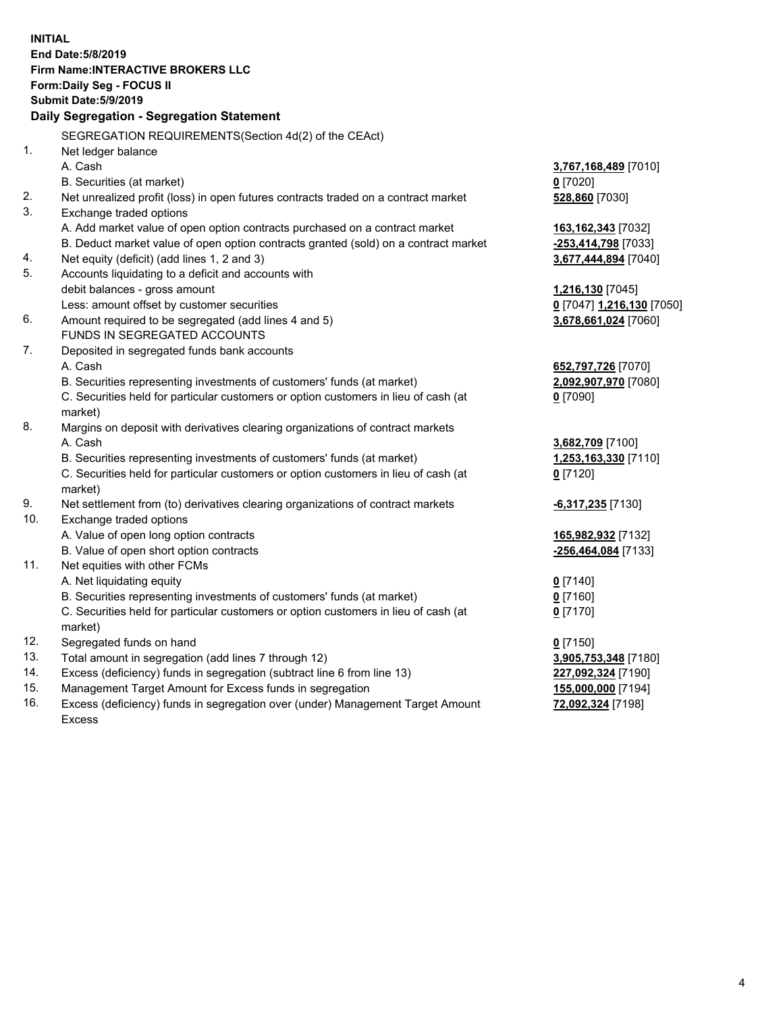| <b>INITIAL</b> |                                                                                      |                                                   |
|----------------|--------------------------------------------------------------------------------------|---------------------------------------------------|
|                | End Date: 5/8/2019                                                                   |                                                   |
|                | Firm Name: INTERACTIVE BROKERS LLC                                                   |                                                   |
|                | Form: Daily Seg - FOCUS II                                                           |                                                   |
|                | <b>Submit Date: 5/9/2019</b>                                                         |                                                   |
|                | Daily Segregation - Segregation Statement                                            |                                                   |
|                |                                                                                      |                                                   |
|                | SEGREGATION REQUIREMENTS(Section 4d(2) of the CEAct)                                 |                                                   |
| 1.             | Net ledger balance                                                                   |                                                   |
|                | A. Cash                                                                              | 3,767,168,489 [7010]                              |
|                | B. Securities (at market)                                                            | $0$ [7020]                                        |
| 2.<br>3.       | Net unrealized profit (loss) in open futures contracts traded on a contract market   | 528,860 [7030]                                    |
|                | Exchange traded options                                                              |                                                   |
|                | A. Add market value of open option contracts purchased on a contract market          | 163,162,343 [7032]                                |
|                | B. Deduct market value of open option contracts granted (sold) on a contract market  | -253,414,798 [7033]                               |
| 4.<br>5.       | Net equity (deficit) (add lines 1, 2 and 3)                                          | 3,677,444,894 [7040]                              |
|                | Accounts liquidating to a deficit and accounts with<br>debit balances - gross amount |                                                   |
|                | Less: amount offset by customer securities                                           | 1,216,130 [7045]                                  |
| 6.             | Amount required to be segregated (add lines 4 and 5)                                 | 0 [7047] 1,216,130 [7050]<br>3,678,661,024 [7060] |
|                | FUNDS IN SEGREGATED ACCOUNTS                                                         |                                                   |
| 7.             | Deposited in segregated funds bank accounts                                          |                                                   |
|                | A. Cash                                                                              | 652,797,726 [7070]                                |
|                | B. Securities representing investments of customers' funds (at market)               | 2,092,907,970 [7080]                              |
|                | C. Securities held for particular customers or option customers in lieu of cash (at  | $0$ [7090]                                        |
|                | market)                                                                              |                                                   |
| 8.             | Margins on deposit with derivatives clearing organizations of contract markets       |                                                   |
|                | A. Cash                                                                              | 3,682,709 [7100]                                  |
|                | B. Securities representing investments of customers' funds (at market)               | 1,253,163,330 [7110]                              |
|                | C. Securities held for particular customers or option customers in lieu of cash (at  | $0$ [7120]                                        |
|                | market)                                                                              |                                                   |
| 9.             | Net settlement from (to) derivatives clearing organizations of contract markets      | -6,317,235 [7130]                                 |
| 10.            | Exchange traded options                                                              |                                                   |
|                | A. Value of open long option contracts                                               | 165,982,932 [7132]                                |
|                | B. Value of open short option contracts                                              | -256,464,084 [7133]                               |
| 11.            | Net equities with other FCMs                                                         |                                                   |
|                | A. Net liquidating equity                                                            | $0$ [7140]                                        |
|                | B. Securities representing investments of customers' funds (at market)               | 0 [7160]                                          |
|                | C. Securities held for particular customers or option customers in lieu of cash (at  | $0$ [7170]                                        |
|                | market)                                                                              |                                                   |
| 12.            | Segregated funds on hand                                                             | $0$ [7150]                                        |
| 13.            | Total amount in segregation (add lines 7 through 12)                                 | 3,905,753,348 [7180]                              |
| 14.            | Excess (deficiency) funds in segregation (subtract line 6 from line 13)              | 227,092,324 [7190]                                |
| 15.            | Management Target Amount for Excess funds in segregation                             | 155,000,000 [7194]                                |
| 16.            | Excess (deficiency) funds in segregation over (under) Management Target Amount       | 72,092,324 [7198]                                 |

Excess